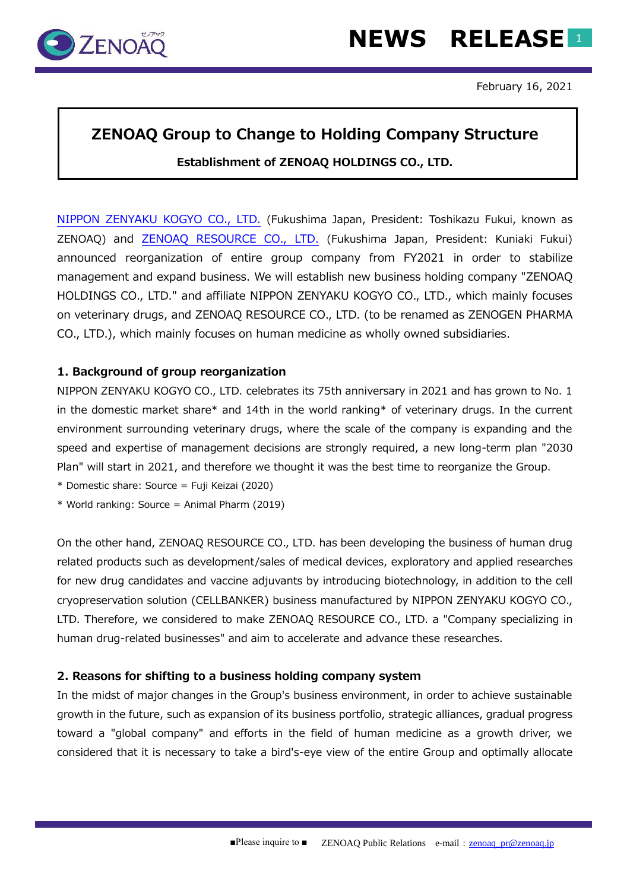

## **ZENOAQ Group to Change to Holding Company Structure Establishment of ZENOAQ HOLDINGS CO., LTD.**

[NIPPON ZENYAKU KOGYO CO., LTD.](http://www.zenoaq.jp/english/index.html) (Fukushima Japan, President: Toshikazu Fukui, known as ZENOAQ) and [ZENOAQ RESOURCE](http://www.zenoaq.jp/zenoaq_resource/en/index.html) CO., LTD. (Fukushima Japan, President: Kuniaki Fukui) announced reorganization of entire group company from FY2021 in order to stabilize management and expand business. We will establish new business holding company "ZENOAQ HOLDINGS CO., LTD." and affiliate NIPPON ZENYAKU KOGYO CO., LTD., which mainly focuses on veterinary drugs, and ZENOAQ RESOURCE CO., LTD. (to be renamed as ZENOGEN PHARMA CO., LTD.), which mainly focuses on human medicine as wholly owned subsidiaries.

#### **1. Background of group reorganization**

NIPPON ZENYAKU KOGYO CO., LTD. celebrates its 75th anniversary in 2021 and has grown to No. 1 in the domestic market share\* and 14th in the world ranking\* of veterinary drugs. In the current environment surrounding veterinary drugs, where the scale of the company is expanding and the speed and expertise of management decisions are strongly required, a new long-term plan "2030 Plan" will start in 2021, and therefore we thought it was the best time to reorganize the Group.

\* Domestic share: Source = Fuji Keizai (2020)

\* World ranking: Source = Animal Pharm (2019)

On the other hand, ZENOAQ RESOURCE CO., LTD. has been developing the business of human drug related products such as development/sales of medical devices, exploratory and applied researches for new drug candidates and vaccine adjuvants by introducing biotechnology, in addition to the cell cryopreservation solution (CELLBANKER) business manufactured by NIPPON ZENYAKU KOGYO CO., LTD. Therefore, we considered to make ZENOAQ RESOURCE CO., LTD. a "Company specializing in human drug-related businesses" and aim to accelerate and advance these researches.

#### **2. Reasons for shifting to a business holding company system**

In the midst of major changes in the Group's business environment, in order to achieve sustainable growth in the future, such as expansion of its business portfolio, strategic alliances, gradual progress toward a "global company" and efforts in the field of human medicine as a growth driver, we considered that it is necessary to take a bird's-eye view of the entire Group and optimally allocate